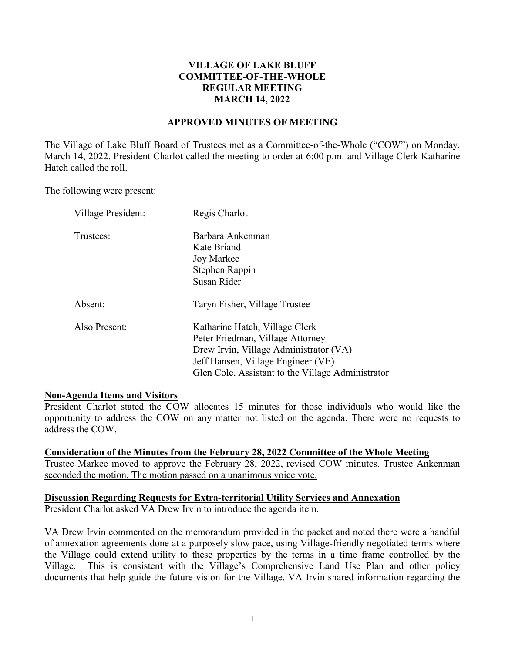# **VILLAGE OF LAKE BLUFF COMMITTEE-OF-THE-WHOLE REGULAR MEETING MARCH 14, 2022**

## **APPROVED MINUTES OF MEETING**

The Village of Lake Bluff Board of Trustees met as a Committee-of-the-Whole ("COW") on Monday, March 14, 2022. President Charlot called the meeting to order at 6:00 p.m. and Village Clerk Katharine Hatch called the roll.

The following were present:

| Village President: | Regis Charlot                                     |
|--------------------|---------------------------------------------------|
| Trustees:          | Barbara Ankenman                                  |
|                    | Kate Briand                                       |
|                    | Joy Markee                                        |
|                    | Stephen Rappin                                    |
|                    | Susan Rider                                       |
| Absent:            | Taryn Fisher, Village Trustee                     |
| Also Present:      | Katharine Hatch, Village Clerk                    |
|                    | Peter Friedman, Village Attorney                  |
|                    | Drew Irvin, Village Administrator (VA)            |
|                    | Jeff Hansen, Village Engineer (VE)                |
|                    | Glen Cole, Assistant to the Village Administrator |

#### **Non-Agenda Items and Visitors**

President Charlot stated the COW allocates 15 minutes for those individuals who would like the opportunity to address the COW on any matter not listed on the agenda. There were no requests to address the COW.

#### **Consideration of the Minutes from the February 28, 2022 Committee of the Whole Meeting**

Trustee Markee moved to approve the February 28, 2022, revised COW minutes. Trustee Ankenman seconded the motion. The motion passed on a unanimous voice vote.

## **Discussion Regarding Requests for Extra-territorial Utility Services and Annexation**

President Charlot asked VA Drew Irvin to introduce the agenda item.

VA Drew Irvin commented on the memorandum provided in the packet and noted there were a handful of annexation agreements done at a purposely slow pace, using Village-friendly negotiated terms where the Village could extend utility to these properties by the terms in a time frame controlled by the Village. This is consistent with the Village's Comprehensive Land Use Plan and other policy documents that help guide the future vision for the Village. VA Irvin shared information regarding the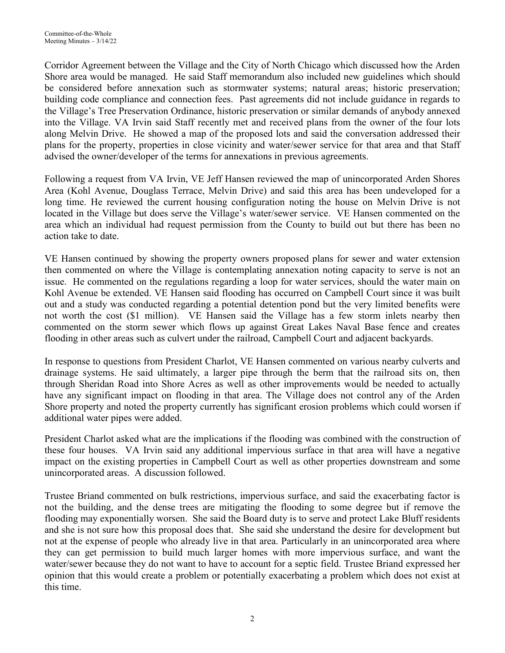Corridor Agreement between the Village and the City of North Chicago which discussed how the Arden Shore area would be managed. He said Staff memorandum also included new guidelines which should be considered before annexation such as stormwater systems; natural areas; historic preservation; building code compliance and connection fees. Past agreements did not include guidance in regards to the Village's Tree Preservation Ordinance, historic preservation or similar demands of anybody annexed into the Village. VA Irvin said Staff recently met and received plans from the owner of the four lots along Melvin Drive. He showed a map of the proposed lots and said the conversation addressed their plans for the property, properties in close vicinity and water/sewer service for that area and that Staff advised the owner/developer of the terms for annexations in previous agreements.

Following a request from VA Irvin, VE Jeff Hansen reviewed the map of unincorporated Arden Shores Area (Kohl Avenue, Douglass Terrace, Melvin Drive) and said this area has been undeveloped for a long time. He reviewed the current housing configuration noting the house on Melvin Drive is not located in the Village but does serve the Village's water/sewer service. VE Hansen commented on the area which an individual had request permission from the County to build out but there has been no action take to date.

VE Hansen continued by showing the property owners proposed plans for sewer and water extension then commented on where the Village is contemplating annexation noting capacity to serve is not an issue. He commented on the regulations regarding a loop for water services, should the water main on Kohl Avenue be extended. VE Hansen said flooding has occurred on Campbell Court since it was built out and a study was conducted regarding a potential detention pond but the very limited benefits were not worth the cost (\$1 million). VE Hansen said the Village has a few storm inlets nearby then commented on the storm sewer which flows up against Great Lakes Naval Base fence and creates flooding in other areas such as culvert under the railroad, Campbell Court and adjacent backyards.

In response to questions from President Charlot, VE Hansen commented on various nearby culverts and drainage systems. He said ultimately, a larger pipe through the berm that the railroad sits on, then through Sheridan Road into Shore Acres as well as other improvements would be needed to actually have any significant impact on flooding in that area. The Village does not control any of the Arden Shore property and noted the property currently has significant erosion problems which could worsen if additional water pipes were added.

President Charlot asked what are the implications if the flooding was combined with the construction of these four houses. VA Irvin said any additional impervious surface in that area will have a negative impact on the existing properties in Campbell Court as well as other properties downstream and some unincorporated areas. A discussion followed.

Trustee Briand commented on bulk restrictions, impervious surface, and said the exacerbating factor is not the building, and the dense trees are mitigating the flooding to some degree but if remove the flooding may exponentially worsen. She said the Board duty is to serve and protect Lake Bluff residents and she is not sure how this proposal does that. She said she understand the desire for development but not at the expense of people who already live in that area. Particularly in an unincorporated area where they can get permission to build much larger homes with more impervious surface, and want the water/sewer because they do not want to have to account for a septic field. Trustee Briand expressed her opinion that this would create a problem or potentially exacerbating a problem which does not exist at this time.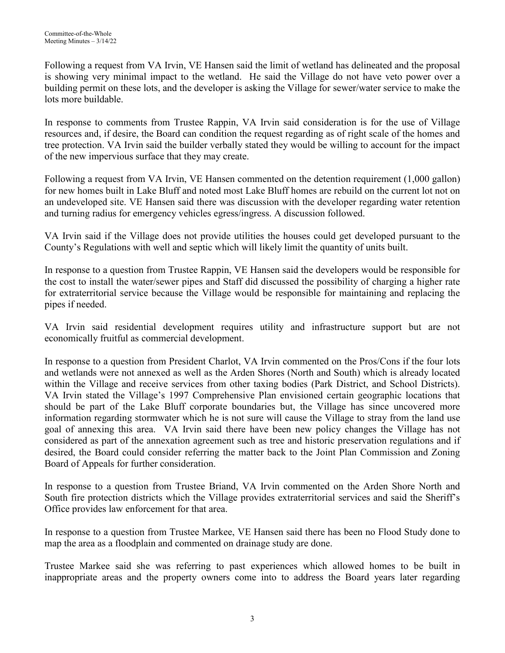Following a request from VA Irvin, VE Hansen said the limit of wetland has delineated and the proposal is showing very minimal impact to the wetland. He said the Village do not have veto power over a building permit on these lots, and the developer is asking the Village for sewer/water service to make the lots more buildable.

In response to comments from Trustee Rappin, VA Irvin said consideration is for the use of Village resources and, if desire, the Board can condition the request regarding as of right scale of the homes and tree protection. VA Irvin said the builder verbally stated they would be willing to account for the impact of the new impervious surface that they may create.

Following a request from VA Irvin, VE Hansen commented on the detention requirement (1,000 gallon) for new homes built in Lake Bluff and noted most Lake Bluff homes are rebuild on the current lot not on an undeveloped site. VE Hansen said there was discussion with the developer regarding water retention and turning radius for emergency vehicles egress/ingress. A discussion followed.

VA Irvin said if the Village does not provide utilities the houses could get developed pursuant to the County's Regulations with well and septic which will likely limit the quantity of units built.

In response to a question from Trustee Rappin, VE Hansen said the developers would be responsible for the cost to install the water/sewer pipes and Staff did discussed the possibility of charging a higher rate for extraterritorial service because the Village would be responsible for maintaining and replacing the pipes if needed.

VA Irvin said residential development requires utility and infrastructure support but are not economically fruitful as commercial development.

In response to a question from President Charlot, VA Irvin commented on the Pros/Cons if the four lots and wetlands were not annexed as well as the Arden Shores (North and South) which is already located within the Village and receive services from other taxing bodies (Park District, and School Districts). VA Irvin stated the Village's 1997 Comprehensive Plan envisioned certain geographic locations that should be part of the Lake Bluff corporate boundaries but, the Village has since uncovered more information regarding stormwater which he is not sure will cause the Village to stray from the land use goal of annexing this area. VA Irvin said there have been new policy changes the Village has not considered as part of the annexation agreement such as tree and historic preservation regulations and if desired, the Board could consider referring the matter back to the Joint Plan Commission and Zoning Board of Appeals for further consideration.

In response to a question from Trustee Briand, VA Irvin commented on the Arden Shore North and South fire protection districts which the Village provides extraterritorial services and said the Sheriff's Office provides law enforcement for that area.

In response to a question from Trustee Markee, VE Hansen said there has been no Flood Study done to map the area as a floodplain and commented on drainage study are done.

Trustee Markee said she was referring to past experiences which allowed homes to be built in inappropriate areas and the property owners come into to address the Board years later regarding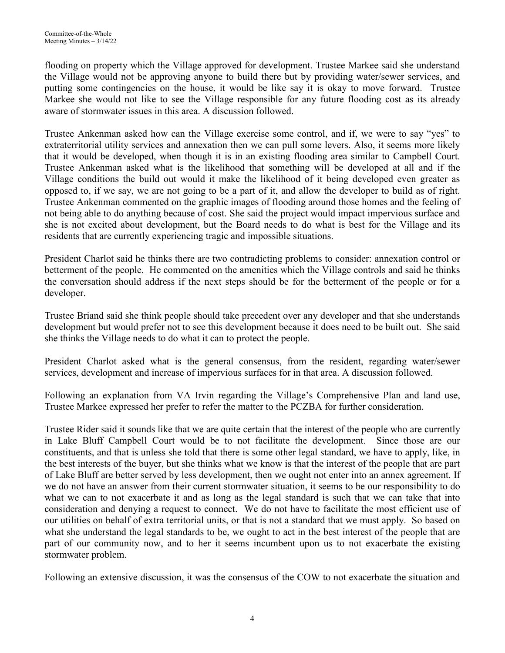flooding on property which the Village approved for development. Trustee Markee said she understand the Village would not be approving anyone to build there but by providing water/sewer services, and putting some contingencies on the house, it would be like say it is okay to move forward. Trustee Markee she would not like to see the Village responsible for any future flooding cost as its already aware of stormwater issues in this area. A discussion followed.

Trustee Ankenman asked how can the Village exercise some control, and if, we were to say "yes" to extraterritorial utility services and annexation then we can pull some levers. Also, it seems more likely that it would be developed, when though it is in an existing flooding area similar to Campbell Court. Trustee Ankenman asked what is the likelihood that something will be developed at all and if the Village conditions the build out would it make the likelihood of it being developed even greater as opposed to, if we say, we are not going to be a part of it, and allow the developer to build as of right. Trustee Ankenman commented on the graphic images of flooding around those homes and the feeling of not being able to do anything because of cost. She said the project would impact impervious surface and she is not excited about development, but the Board needs to do what is best for the Village and its residents that are currently experiencing tragic and impossible situations.

President Charlot said he thinks there are two contradicting problems to consider: annexation control or betterment of the people. He commented on the amenities which the Village controls and said he thinks the conversation should address if the next steps should be for the betterment of the people or for a developer.

Trustee Briand said she think people should take precedent over any developer and that she understands development but would prefer not to see this development because it does need to be built out. She said she thinks the Village needs to do what it can to protect the people.

President Charlot asked what is the general consensus, from the resident, regarding water/sewer services, development and increase of impervious surfaces for in that area. A discussion followed.

Following an explanation from VA Irvin regarding the Village's Comprehensive Plan and land use, Trustee Markee expressed her prefer to refer the matter to the PCZBA for further consideration.

Trustee Rider said it sounds like that we are quite certain that the interest of the people who are currently in Lake Bluff Campbell Court would be to not facilitate the development. Since those are our constituents, and that is unless she told that there is some other legal standard, we have to apply, like, in the best interests of the buyer, but she thinks what we know is that the interest of the people that are part of Lake Bluff are better served by less development, then we ought not enter into an annex agreement. If we do not have an answer from their current stormwater situation, it seems to be our responsibility to do what we can to not exacerbate it and as long as the legal standard is such that we can take that into consideration and denying a request to connect. We do not have to facilitate the most efficient use of our utilities on behalf of extra territorial units, or that is not a standard that we must apply. So based on what she understand the legal standards to be, we ought to act in the best interest of the people that are part of our community now, and to her it seems incumbent upon us to not exacerbate the existing stormwater problem.

Following an extensive discussion, it was the consensus of the COW to not exacerbate the situation and